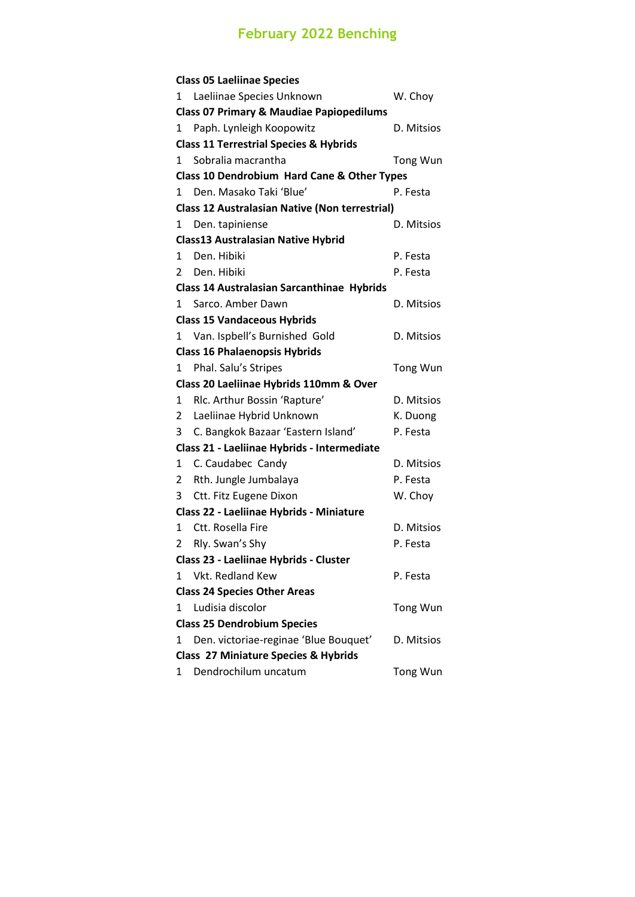## **February 2022 Benching**

|                                                       | <b>Class 05 Laeliinae Species</b>                                       |            |  |  |  |
|-------------------------------------------------------|-------------------------------------------------------------------------|------------|--|--|--|
| 1                                                     | Laeliinae Species Unknown                                               | W. Choy    |  |  |  |
| <b>Class 07 Primary &amp; Maudiae Papiopedilums</b>   |                                                                         |            |  |  |  |
| 1                                                     | Paph. Lynleigh Koopowitz                                                | D. Mitsios |  |  |  |
|                                                       | <b>Class 11 Terrestrial Species &amp; Hybrids</b>                       |            |  |  |  |
| 1.                                                    | Sobralia macrantha                                                      | Tong Wun   |  |  |  |
| Class 10 Dendrobium Hard Cane & Other Types           |                                                                         |            |  |  |  |
| 1                                                     | Den. Masako Taki 'Blue'                                                 | P. Festa   |  |  |  |
| <b>Class 12 Australasian Native (Non terrestrial)</b> |                                                                         |            |  |  |  |
| 1                                                     | Den. tapiniense                                                         | D. Mitsios |  |  |  |
|                                                       | <b>Class13 Australasian Native Hybrid</b>                               |            |  |  |  |
| 1.                                                    | Den. Hibiki                                                             | P. Festa   |  |  |  |
| 2                                                     | Den. Hibiki                                                             | P. Festa   |  |  |  |
| <b>Class 14 Australasian Sarcanthinae Hybrids</b>     |                                                                         |            |  |  |  |
| $\mathbf{1}$                                          | Sarco. Amber Dawn                                                       | D. Mitsios |  |  |  |
| <b>Class 15 Vandaceous Hybrids</b>                    |                                                                         |            |  |  |  |
| 1                                                     | Van. Ispbell's Burnished Gold                                           | D. Mitsios |  |  |  |
|                                                       | <b>Class 16 Phalaenopsis Hybrids</b>                                    |            |  |  |  |
| 1                                                     | Phal. Salu's Stripes                                                    | Tong Wun   |  |  |  |
| Class 20 Laeliinae Hybrids 110mm & Over               |                                                                         |            |  |  |  |
| 1                                                     | Rlc. Arthur Bossin 'Rapture'                                            | D. Mitsios |  |  |  |
| 2                                                     | Laeliinae Hybrid Unknown                                                | K. Duong   |  |  |  |
| 3                                                     | C. Bangkok Bazaar 'Eastern Island'                                      | P. Festa   |  |  |  |
|                                                       |                                                                         |            |  |  |  |
|                                                       | Class 21 - Laeliinae Hybrids - Intermediate                             |            |  |  |  |
| 1                                                     | C. Caudabec Candy                                                       | D. Mitsios |  |  |  |
| 2                                                     | Rth. Jungle Jumbalaya                                                   | P. Festa   |  |  |  |
| 3                                                     | Ctt. Fitz Eugene Dixon                                                  | W. Choy    |  |  |  |
|                                                       | Class 22 - Laeliinae Hybrids - Miniature                                |            |  |  |  |
| 1                                                     | Ctt. Rosella Fire                                                       | D. Mitsios |  |  |  |
| 2                                                     | Rly. Swan's Shy                                                         | P. Festa   |  |  |  |
|                                                       | Class 23 - Laeliinae Hybrids - Cluster                                  |            |  |  |  |
| 1.                                                    | Vkt. Redland Kew                                                        | P. Festa   |  |  |  |
|                                                       | <b>Class 24 Species Other Areas</b>                                     |            |  |  |  |
| 1                                                     | Ludisia discolor                                                        | Tong Wun   |  |  |  |
|                                                       | <b>Class 25 Dendrobium Species</b>                                      |            |  |  |  |
| 1                                                     | Den. victoriae-reginae 'Blue Bouquet'                                   | D. Mitsios |  |  |  |
|                                                       | <b>Class 27 Miniature Species &amp; Hybrids</b><br>Dendrochilum uncatum |            |  |  |  |